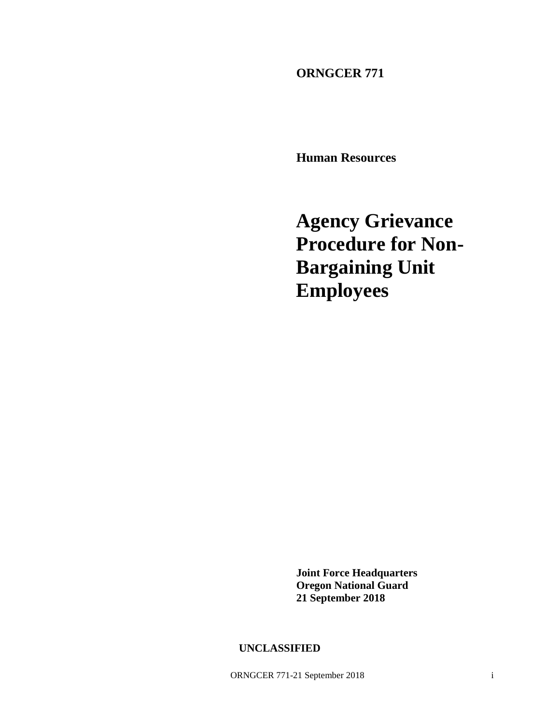**ORNGCER 771**

**Human Resources**

**Agency Grievance Procedure for Non-Bargaining Unit Employees**

**Joint Force Headquarters Oregon National Guard 21 September 2018**

**UNCLASSIFIED**

ORNGCER 771-21 September 2018 i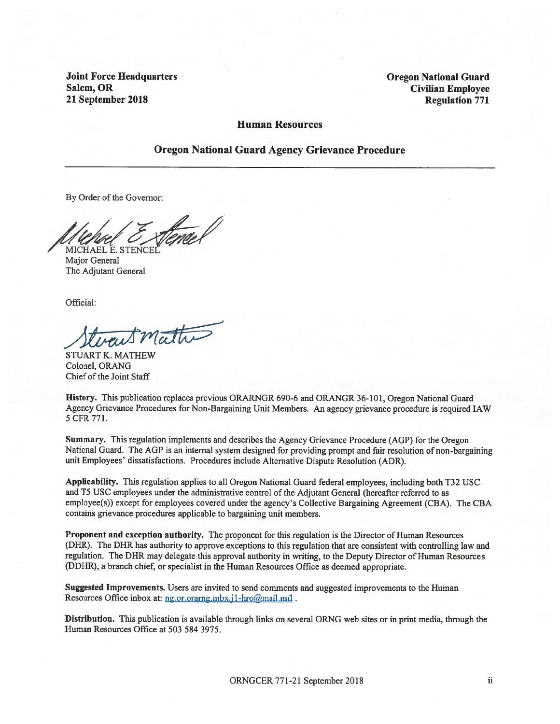**Joint Force Headquarters** Salem, OR 21 September 2018

**Oregon National Guard Civilian Employee Regulation 771** 

#### **Human Resources**

#### **Oregon National Guard Agency Grievance Procedure**

By Order of the Governor:

MICHAEL E. STENCEI

Major General The Adjutant General

Official:

want mathe

**STUART K. MATHEW** Colonel, ORANG Chief of the Joint Staff

History. This publication replaces previous ORARNGR 690-6 and ORANGR 36-101, Oregon National Guard Agency Grievance Procedures for Non-Bargaining Unit Members. An agency grievance procedure is required IAW 5 CFR 771.

Summary. This regulation implements and describes the Agency Grievance Procedure (AGP) for the Oregon National Guard. The AGP is an internal system designed for providing prompt and fair resolution of non-bargaining unit Employees' dissatisfactions. Procedures include Alternative Dispute Resolution (ADR).

Applicability. This regulation applies to all Oregon National Guard federal employees, including both T32 USC and T5 USC employees under the administrative control of the Adjutant General (hereafter referred to as employee(s)) except for employees covered under the agency's Collective Bargaining Agreement (CBA). The CBA contains grievance procedures applicable to bargaining unit members.

**Proponent and exception authority.** The proponent for this regulation is the Director of Human Resources (DHR). The DHR has authority to approve exceptions to this regulation that are consistent with controlling law and regulation. The DHR may delegate this approval authority in writing, to the Deputy Director of Human Resources (DDHR), a branch chief, or specialist in the Human Resources Office as deemed appropriate.

Suggested Improvements. Users are invited to send comments and suggested improvements to the Human Resources Office inbox at: ng.or.orarng.mbx.jl-hro@mail.mil.

Distribution. This publication is available through links on several ORNG web sites or in print media, through the Human Resources Office at 503 584 3975.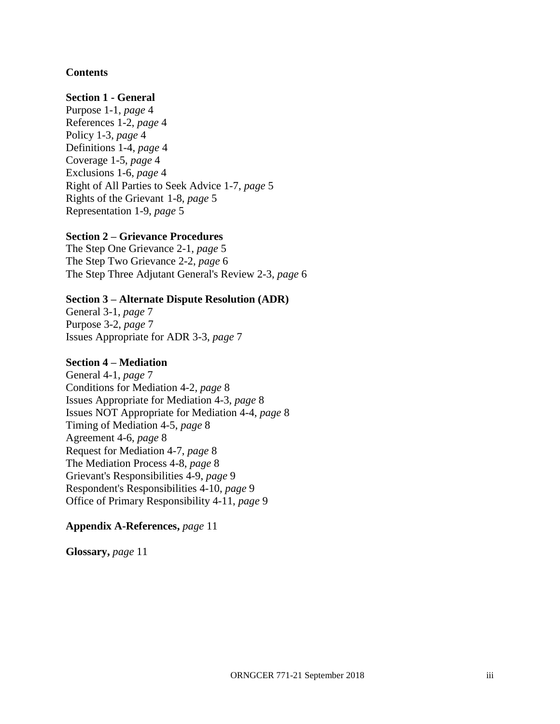## **Contents**

### **Section 1 - General**

Purpose 1-1, *page* 4 References 1-2, *page* 4 Policy 1-3, *page* 4 Definitions 1-4, *page* 4 Coverage 1-5, *page* 4 Exclusions 1-6, *page* 4 Right of All Parties to Seek Advice 1-7, *page* 5 Rights of the Grievant 1-8, *page* 5 Representation 1-9, *page* 5

### **Section 2 – Grievance Procedures**

The Step One Grievance 2-1, *page* 5 The Step Two Grievance 2-2, *page* 6 The Step Three Adjutant General's Review 2-3, *page* 6

### **Section 3 – Alternate Dispute Resolution (ADR)**

General 3-1, *page* 7 Purpose 3-2, *page* 7 Issues Appropriate for ADR 3-3, *page* 7

#### **Section 4 – Mediation**

General 4-1, *page* 7 Conditions for Mediation 4-2, *page* 8 Issues Appropriate for Mediation 4-3, *page* 8 Issues NOT Appropriate for Mediation 4-4, *page* 8 Timing of Mediation 4-5, *page* 8 Agreement 4-6, *page* 8 Request for Mediation 4-7, *page* 8 The Mediation Process 4-8, *page* 8 Grievant's Responsibilities 4-9, *page* 9 Respondent's Responsibilities 4-10, *page* 9 Office of Primary Responsibility 4-11, *page* 9

#### **Appendix A-References,** *page* 11

**Glossary,** *page* 11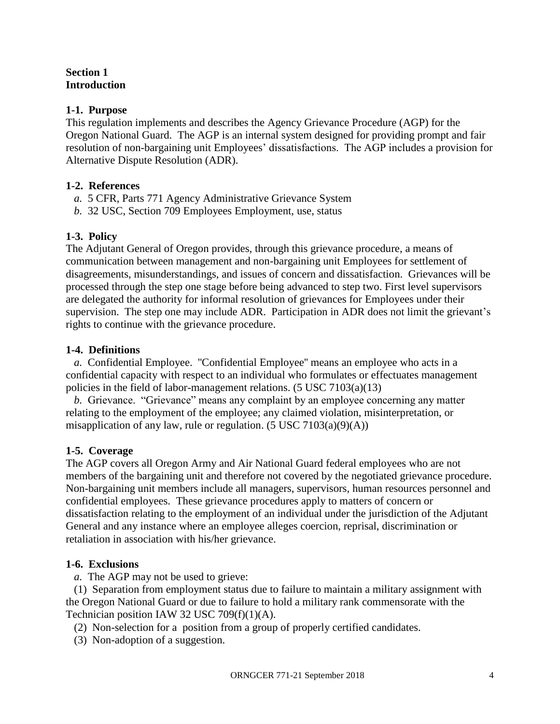## **Section 1 Introduction**

## **1-1. Purpose**

This regulation implements and describes the Agency Grievance Procedure (AGP) for the Oregon National Guard. The AGP is an internal system designed for providing prompt and fair resolution of non-bargaining unit Employees' dissatisfactions. The AGP includes a provision for Alternative Dispute Resolution (ADR).

# **1-2. References**

- *a.* 5 CFR, Parts 771 Agency Administrative Grievance System
- *b.* 32 USC, Section 709 Employees Employment, use, status

# **1-3. Policy**

The Adjutant General of Oregon provides, through this grievance procedure, a means of communication between management and non-bargaining unit Employees for settlement of disagreements, misunderstandings, and issues of concern and dissatisfaction. Grievances will be processed through the step one stage before being advanced to step two. First level supervisors are delegated the authority for informal resolution of grievances for Employees under their supervision. The step one may include ADR. Participation in ADR does not limit the grievant's rights to continue with the grievance procedure.

## **1-4. Definitions**

*a.* Confidential Employee. ''Confidential Employee'' means an employee who acts in a confidential capacity with respect to an individual who formulates or effectuates management policies in the field of labor-management relations. (5 USC 7103(a)(13)

*b.* Grievance. "Grievance" means any complaint by an employee concerning any matter relating to the employment of the employee; any claimed violation, misinterpretation, or misapplication of any law, rule or regulation.  $(5 \text{ USC } 7103(a)(9)(A))$ 

# **1-5. Coverage**

The AGP covers all Oregon Army and Air National Guard federal employees who are not members of the bargaining unit and therefore not covered by the negotiated grievance procedure. Non-bargaining unit members include all managers, supervisors, human resources personnel and confidential employees. These grievance procedures apply to matters of concern or dissatisfaction relating to the employment of an individual under the jurisdiction of the Adjutant General and any instance where an employee alleges coercion, reprisal, discrimination or retaliation in association with his/her grievance.

## **1-6. Exclusions**

*a.* The AGP may not be used to grieve:

(1) Separation from employment status due to failure to maintain a military assignment with the Oregon National Guard or due to failure to hold a military rank commensorate with the Technician position IAW 32 USC 709(f)(1)(A).

(2) Non-selection for a position from a group of properly certified candidates.

(3) Non-adoption of a suggestion.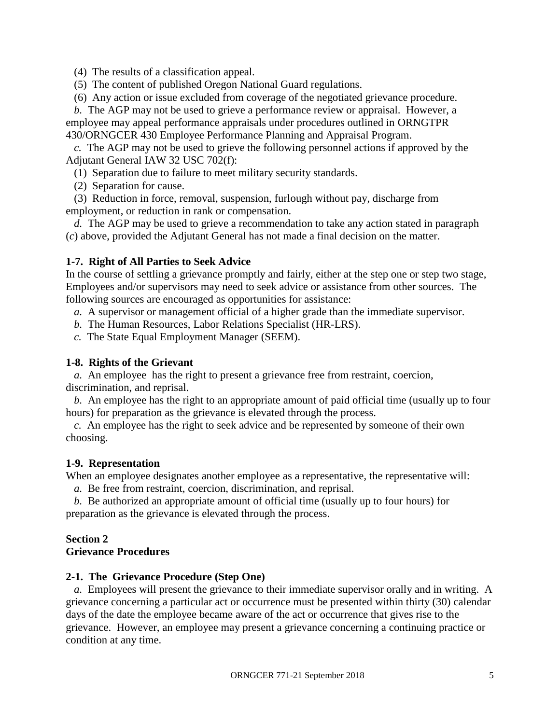(4) The results of a classification appeal.

- (5) The content of published Oregon National Guard regulations.
- (6) Any action or issue excluded from coverage of the negotiated grievance procedure.

*b.* The AGP may not be used to grieve a performance review or appraisal. However, a employee may appeal performance appraisals under procedures outlined in ORNGTPR 430/ORNGCER 430 Employee Performance Planning and Appraisal Program.

*c.* The AGP may not be used to grieve the following personnel actions if approved by the Adjutant General IAW 32 USC 702(f):

(1) Separation due to failure to meet military security standards.

(2) Separation for cause.

(3) Reduction in force, removal, suspension, furlough without pay, discharge from employment, or reduction in rank or compensation.

*d.* The AGP may be used to grieve a recommendation to take any action stated in paragraph (*c*) above, provided the Adjutant General has not made a final decision on the matter.

### **1-7. Right of All Parties to Seek Advice**

In the course of settling a grievance promptly and fairly, either at the step one or step two stage, Employees and/or supervisors may need to seek advice or assistance from other sources. The following sources are encouraged as opportunities for assistance:

*a.* A supervisor or management official of a higher grade than the immediate supervisor.

- *b.* The Human Resources, Labor Relations Specialist (HR-LRS).
- *c.* The State Equal Employment Manager (SEEM).

### **1-8. Rights of the Grievant**

*a.* An employee has the right to present a grievance free from restraint, coercion, discrimination, and reprisal.

*b.* An employee has the right to an appropriate amount of paid official time (usually up to four hours) for preparation as the grievance is elevated through the process.

*c.* An employee has the right to seek advice and be represented by someone of their own choosing.

#### **1-9. Representation**

When an employee designates another employee as a representative, the representative will:

*a.* Be free from restraint, coercion, discrimination, and reprisal.

*b.* Be authorized an appropriate amount of official time (usually up to four hours) for preparation as the grievance is elevated through the process.

#### **Section 2 Grievance Procedures**

### **2-1. The Grievance Procedure (Step One)**

*a.* Employees will present the grievance to their immediate supervisor orally and in writing. A grievance concerning a particular act or occurrence must be presented within thirty (30) calendar days of the date the employee became aware of the act or occurrence that gives rise to the grievance. However, an employee may present a grievance concerning a continuing practice or condition at any time.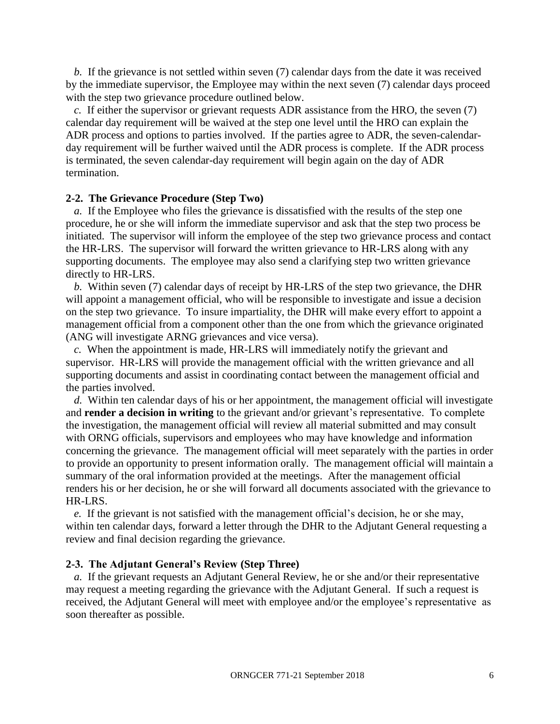*b.* If the grievance is not settled within seven (7) calendar days from the date it was received by the immediate supervisor, the Employee may within the next seven (7) calendar days proceed with the step two grievance procedure outlined below.

*c.* If either the supervisor or grievant requests ADR assistance from the HRO, the seven (7) calendar day requirement will be waived at the step one level until the HRO can explain the ADR process and options to parties involved. If the parties agree to ADR, the seven-calendarday requirement will be further waived until the ADR process is complete. If the ADR process is terminated, the seven calendar-day requirement will begin again on the day of ADR termination.

#### **2-2. The Grievance Procedure (Step Two)**

*a.* If the Employee who files the grievance is dissatisfied with the results of the step one procedure, he or she will inform the immediate supervisor and ask that the step two process be initiated. The supervisor will inform the employee of the step two grievance process and contact the HR-LRS. The supervisor will forward the written grievance to HR-LRS along with any supporting documents. The employee may also send a clarifying step two written grievance directly to HR-LRS.

*b.* Within seven (7) calendar days of receipt by HR-LRS of the step two grievance, the DHR will appoint a management official, who will be responsible to investigate and issue a decision on the step two grievance. To insure impartiality, the DHR will make every effort to appoint a management official from a component other than the one from which the grievance originated (ANG will investigate ARNG grievances and vice versa).

*c.* When the appointment is made, HR-LRS will immediately notify the grievant and supervisor. HR-LRS will provide the management official with the written grievance and all supporting documents and assist in coordinating contact between the management official and the parties involved.

*d.* Within ten calendar days of his or her appointment, the management official will investigate and **render a decision in writing** to the grievant and/or grievant's representative. To complete the investigation, the management official will review all material submitted and may consult with ORNG officials, supervisors and employees who may have knowledge and information concerning the grievance. The management official will meet separately with the parties in order to provide an opportunity to present information orally. The management official will maintain a summary of the oral information provided at the meetings. After the management official renders his or her decision, he or she will forward all documents associated with the grievance to HR-LRS.

*e.* If the grievant is not satisfied with the management official's decision, he or she may, within ten calendar days, forward a letter through the DHR to the Adjutant General requesting a review and final decision regarding the grievance.

#### **2-3. The Adjutant General's Review (Step Three)**

*a.* If the grievant requests an Adjutant General Review, he or she and/or their representative may request a meeting regarding the grievance with the Adjutant General. If such a request is received, the Adjutant General will meet with employee and/or the employee's representative as soon thereafter as possible.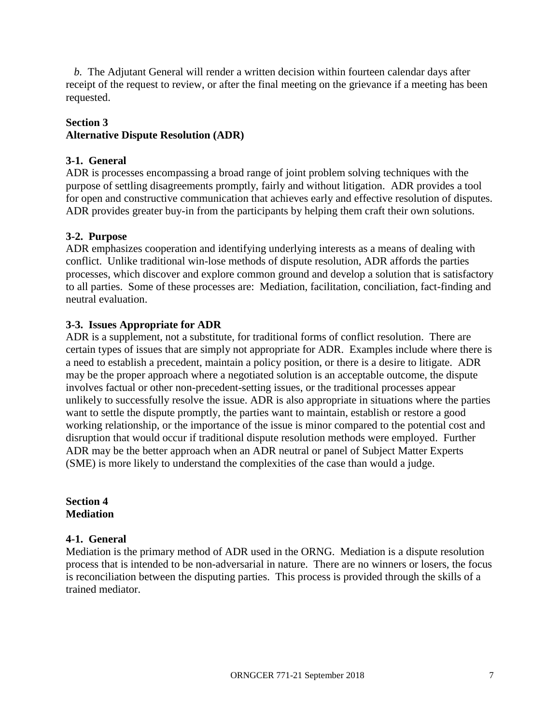*b.* The Adjutant General will render a written decision within fourteen calendar days after receipt of the request to review, or after the final meeting on the grievance if a meeting has been requested.

## **Section 3**

# **Alternative Dispute Resolution (ADR)**

### **3-1. General**

ADR is processes encompassing a broad range of joint problem solving techniques with the purpose of settling disagreements promptly, fairly and without litigation. ADR provides a tool for open and constructive communication that achieves early and effective resolution of disputes. ADR provides greater buy-in from the participants by helping them craft their own solutions.

## **3-2. Purpose**

ADR emphasizes cooperation and identifying underlying interests as a means of dealing with conflict. Unlike traditional win-lose methods of dispute resolution, ADR affords the parties processes, which discover and explore common ground and develop a solution that is satisfactory to all parties. Some of these processes are: Mediation, facilitation, conciliation, fact-finding and neutral evaluation.

## **3-3. Issues Appropriate for ADR**

ADR is a supplement, not a substitute, for traditional forms of conflict resolution. There are certain types of issues that are simply not appropriate for ADR. Examples include where there is a need to establish a precedent, maintain a policy position, or there is a desire to litigate. ADR may be the proper approach where a negotiated solution is an acceptable outcome, the dispute involves factual or other non-precedent-setting issues, or the traditional processes appear unlikely to successfully resolve the issue. ADR is also appropriate in situations where the parties want to settle the dispute promptly, the parties want to maintain, establish or restore a good working relationship, or the importance of the issue is minor compared to the potential cost and disruption that would occur if traditional dispute resolution methods were employed. Further ADR may be the better approach when an ADR neutral or panel of Subject Matter Experts (SME) is more likely to understand the complexities of the case than would a judge.

**Section 4 Mediation**

### **4-1. General**

Mediation is the primary method of ADR used in the ORNG. Mediation is a dispute resolution process that is intended to be non-adversarial in nature. There are no winners or losers, the focus is reconciliation between the disputing parties. This process is provided through the skills of a trained mediator.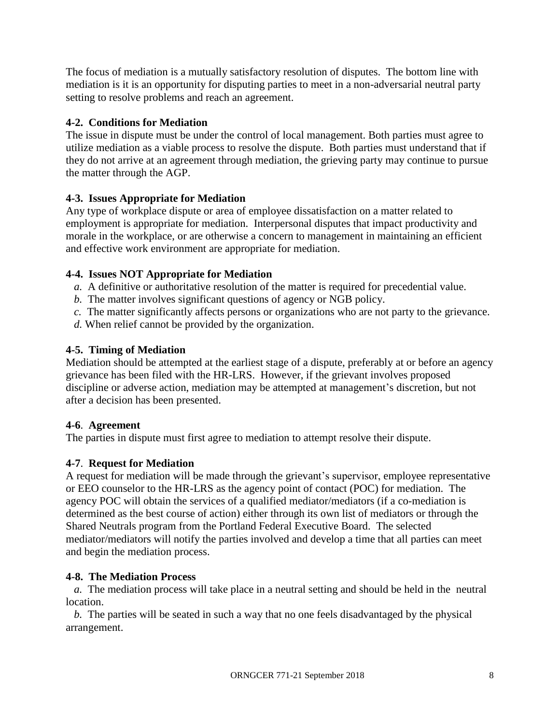The focus of mediation is a mutually satisfactory resolution of disputes. The bottom line with mediation is it is an opportunity for disputing parties to meet in a non-adversarial neutral party setting to resolve problems and reach an agreement.

# **4-2. Conditions for Mediation**

The issue in dispute must be under the control of local management. Both parties must agree to utilize mediation as a viable process to resolve the dispute. Both parties must understand that if they do not arrive at an agreement through mediation, the grieving party may continue to pursue the matter through the AGP.

# **4-3. Issues Appropriate for Mediation**

Any type of workplace dispute or area of employee dissatisfaction on a matter related to employment is appropriate for mediation. Interpersonal disputes that impact productivity and morale in the workplace, or are otherwise a concern to management in maintaining an efficient and effective work environment are appropriate for mediation.

# **4-4. Issues NOT Appropriate for Mediation**

- *a.* A definitive or authoritative resolution of the matter is required for precedential value.
- *b.* The matter involves significant questions of agency or NGB policy.
- *c.* The matter significantly affects persons or organizations who are not party to the grievance.
- *d.* When relief cannot be provided by the organization.

# **4-5. Timing of Mediation**

Mediation should be attempted at the earliest stage of a dispute, preferably at or before an agency grievance has been filed with the HR-LRS. However, if the grievant involves proposed discipline or adverse action, mediation may be attempted at management's discretion, but not after a decision has been presented.

# **4-6**. **Agreement**

The parties in dispute must first agree to mediation to attempt resolve their dispute.

# **4-7**. **Request for Mediation**

A request for mediation will be made through the grievant's supervisor, employee representative or EEO counselor to the HR-LRS as the agency point of contact (POC) for mediation. The agency POC will obtain the services of a qualified mediator/mediators (if a co-mediation is determined as the best course of action) either through its own list of mediators or through the Shared Neutrals program from the Portland Federal Executive Board. The selected mediator/mediators will notify the parties involved and develop a time that all parties can meet and begin the mediation process.

## **4-8. The Mediation Process**

*a.* The mediation process will take place in a neutral setting and should be held in the neutral location.

*b.* The parties will be seated in such a way that no one feels disadvantaged by the physical arrangement.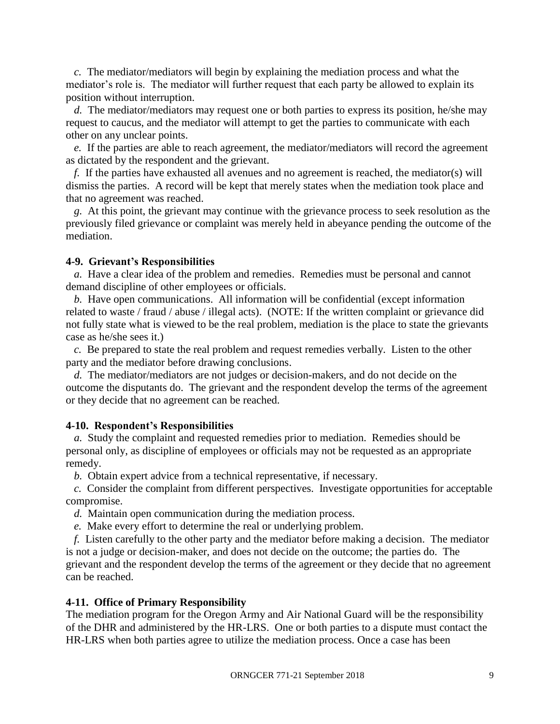*c.* The mediator/mediators will begin by explaining the mediation process and what the mediator's role is. The mediator will further request that each party be allowed to explain its position without interruption.

*d.* The mediator/mediators may request one or both parties to express its position, he/she may request to caucus, and the mediator will attempt to get the parties to communicate with each other on any unclear points.

*e.* If the parties are able to reach agreement, the mediator/mediators will record the agreement as dictated by the respondent and the grievant.

*f.* If the parties have exhausted all avenues and no agreement is reached, the mediator(s) will dismiss the parties. A record will be kept that merely states when the mediation took place and that no agreement was reached.

*g.* At this point, the grievant may continue with the grievance process to seek resolution as the previously filed grievance or complaint was merely held in abeyance pending the outcome of the mediation.

#### **4-9. Grievant's Responsibilities**

*a.* Have a clear idea of the problem and remedies. Remedies must be personal and cannot demand discipline of other employees or officials.

*b.* Have open communications. All information will be confidential (except information related to waste / fraud / abuse / illegal acts). (NOTE: If the written complaint or grievance did not fully state what is viewed to be the real problem, mediation is the place to state the grievants case as he/she sees it.)

*c.* Be prepared to state the real problem and request remedies verbally. Listen to the other party and the mediator before drawing conclusions.

*d.* The mediator/mediators are not judges or decision-makers, and do not decide on the outcome the disputants do. The grievant and the respondent develop the terms of the agreement or they decide that no agreement can be reached.

#### **4-10. Respondent's Responsibilities**

*a.* Study the complaint and requested remedies prior to mediation. Remedies should be personal only, as discipline of employees or officials may not be requested as an appropriate remedy.

*b.* Obtain expert advice from a technical representative, if necessary.

*c.* Consider the complaint from different perspectives. Investigate opportunities for acceptable compromise.

*d.* Maintain open communication during the mediation process.

*e.* Make every effort to determine the real or underlying problem.

*f.* Listen carefully to the other party and the mediator before making a decision. The mediator is not a judge or decision-maker, and does not decide on the outcome; the parties do. The grievant and the respondent develop the terms of the agreement or they decide that no agreement can be reached.

#### **4-11. Office of Primary Responsibility**

The mediation program for the Oregon Army and Air National Guard will be the responsibility of the DHR and administered by the HR-LRS. One or both parties to a dispute must contact the HR-LRS when both parties agree to utilize the mediation process. Once a case has been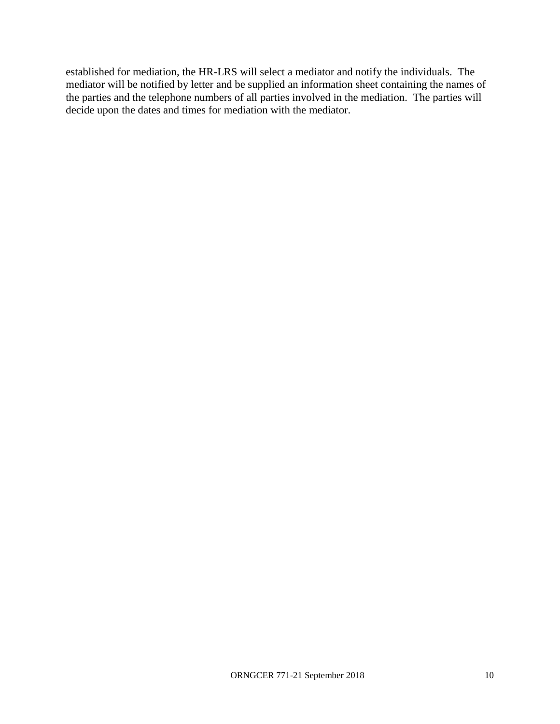established for mediation, the HR-LRS will select a mediator and notify the individuals. The mediator will be notified by letter and be supplied an information sheet containing the names of the parties and the telephone numbers of all parties involved in the mediation. The parties will decide upon the dates and times for mediation with the mediator.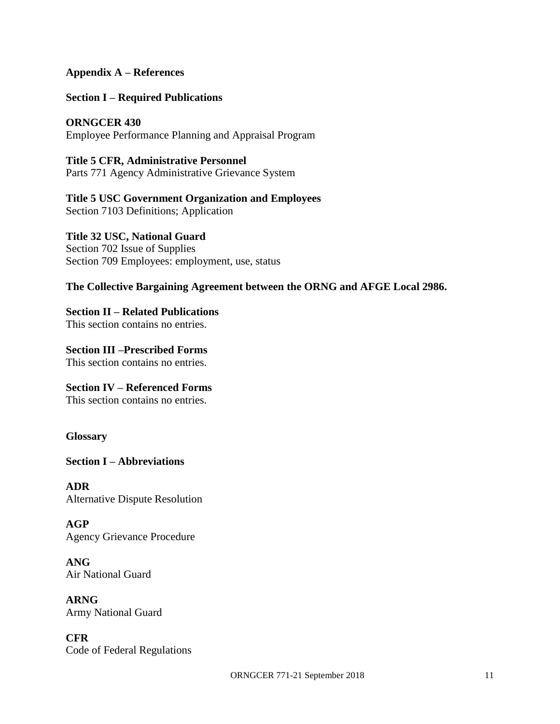### **Appendix A – References**

**Section I – Required Publications**

**ORNGCER 430** Employee Performance Planning and Appraisal Program

**Title 5 CFR, Administrative Personnel** Parts 771 Agency Administrative Grievance System

**Title 5 USC Government Organization and Employees** Section 7103 Definitions; Application

**Title 32 USC, National Guard** Section 702 Issue of Supplies Section 709 Employees: employment, use, status

## **The Collective Bargaining Agreement between the ORNG and AFGE Local 2986.**

**Section II – Related Publications** This section contains no entries.

**Section III –Prescribed Forms** This section contains no entries.

**Section IV – Referenced Forms** This section contains no entries.

**Glossary**

**Section I – Abbreviations**

**ADR** Alternative Dispute Resolution

**AGP** Agency Grievance Procedure

**ANG** Air National Guard

**ARNG** Army National Guard

**CFR** Code of Federal Regulations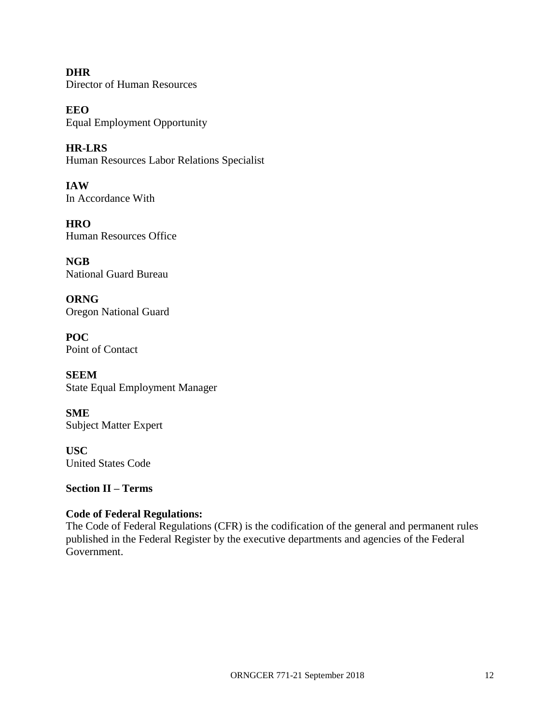**DHR** Director of Human Resources

**EEO** Equal Employment Opportunity

**HR-LRS** Human Resources Labor Relations Specialist

**IAW** In Accordance With

**HRO** Human Resources Office

**NGB** National Guard Bureau

**ORNG** Oregon National Guard

**POC** Point of Contact

**SEEM** State Equal Employment Manager

**SME** Subject Matter Expert

**USC** United States Code

**Section II – Terms**

# **Code of Federal Regulations:**

The Code of Federal Regulations (CFR) is the codification of the general and permanent rules published in the Federal Register by the executive departments and agencies of the Federal Government.